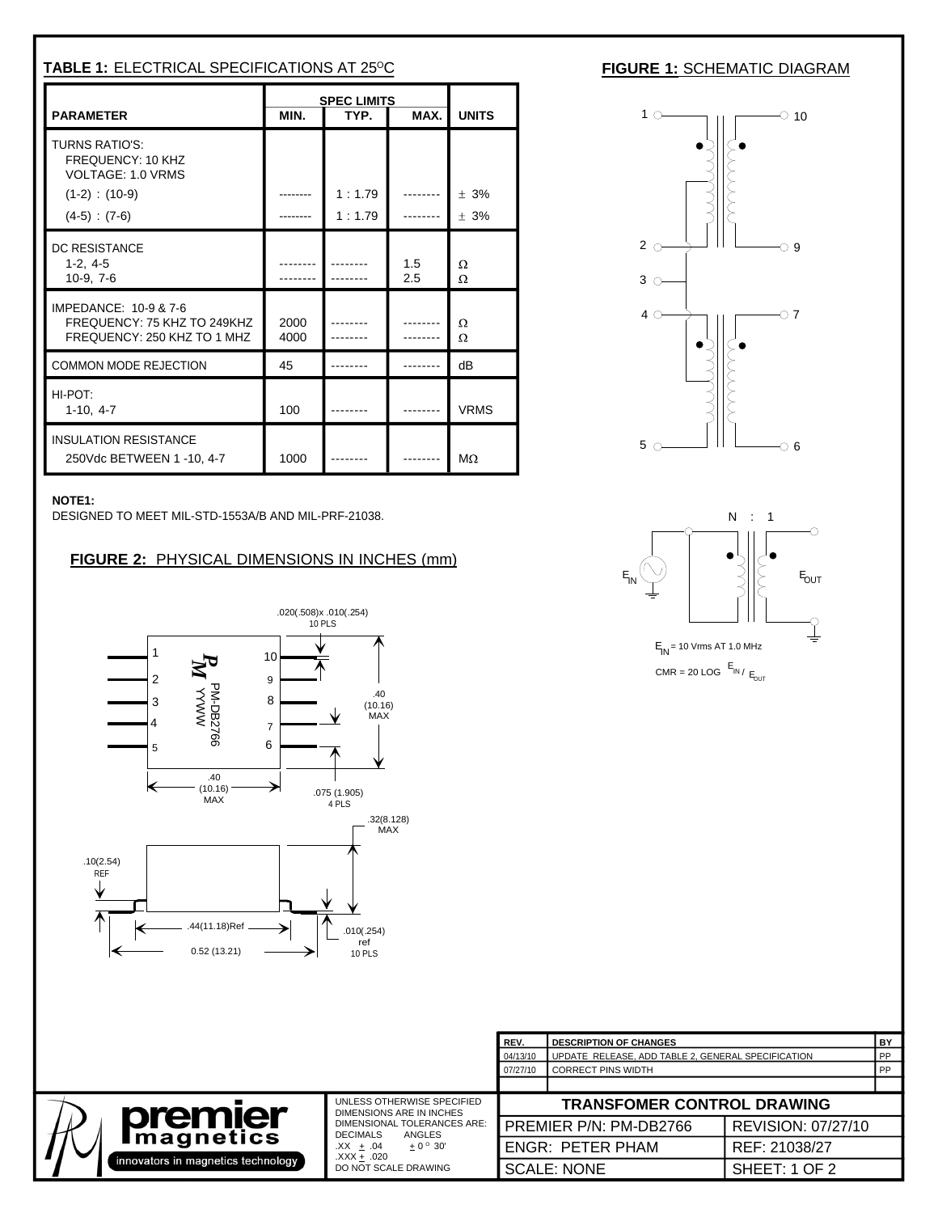| TABLE 1: ELECTRICAL SPECIFICATIONS AT 25°C                                                        |           |                                                         |                                   |                   | <b>FIGURE 1: SCHEMATIC DIAGRAM</b>                                                                                                                                                                                                                                                                                                                |  |
|---------------------------------------------------------------------------------------------------|-----------|---------------------------------------------------------|-----------------------------------|-------------------|---------------------------------------------------------------------------------------------------------------------------------------------------------------------------------------------------------------------------------------------------------------------------------------------------------------------------------------------------|--|
| <b>PARAMETER</b>                                                                                  | MIN.      | SPEC LIMITS<br>TYP.                                     |                                   | MAX. UNITS        | $1$ $\circ$ $\qquad$ $\qquad$ $\qquad$ $\qquad$ $\qquad$ $\circ$ $\qquad$ $\qquad$ $\circ$ $\qquad$ $\circ$ $\qquad$ $\circ$ $\qquad$ $\circ$ $\qquad$ $\circ$ $\qquad$ $\circ$ $\qquad$ $\circ$ $\qquad$ $\circ$ $\qquad$ $\circ$ $\qquad$ $\circ$ $\qquad$ $\circ$ $\qquad$ $\circ$ $\qquad$ $\circ$ $\qquad$ $\circ$ $\qquad$ $\circ$ $\qquad$ |  |
| TURNS RATIO'S:<br>FREQUENCY: 10 KHZ<br>VOLTAGE: 1.0 VRMS<br>$(1-2)$ : $(10-9)$<br>$(4-5) : (7-6)$ |           | --------   1 : 1.79   --------   $\pm$ 3%<br>$1:1.79$ I |                                   | $\cdots$ $\pm$ 3% |                                                                                                                                                                                                                                                                                                                                                   |  |
| DC RESISTANCE<br>$1-2, 4-5$<br>$10-9, 7-6$                                                        | --------- | -------<br>. <sub>.</sub>                               | 1.5<br>2.5                        |                   | $3^\circ$                                                                                                                                                                                                                                                                                                                                         |  |
| IMPEDANCE: 10-9 & 7-6<br>FREQUENCY: 75 KHZ TO 249KHZ 2000<br>FREQUENCY: 250 KHZ TO 1 MHZ 4000     |           |                                                         | -------- ΙΩ<br>$\sim$ -------   O |                   | $40 \rightarrow \rightarrow$ $11 \rightarrow 07$                                                                                                                                                                                                                                                                                                  |  |
| COMMON MODE REJECTION                                                                             |           | -------                                                 |                                   |                   |                                                                                                                                                                                                                                                                                                                                                   |  |
| HI-POT:<br>$1-10, 4-7$                                                                            | 100       | . <u>.</u>                                              |                                   | --------    VRMS  |                                                                                                                                                                                                                                                                                                                                                   |  |
| <b>INSULATION RESISTANCE</b><br>250Vdc BETWEEN 1 -10, 4-7                                         |           | 1000 -------- - -------- $M\Omega$                      |                                   |                   | $5^\circ$ 6                                                                                                                                                                                                                                                                                                                                       |  |

DESIGNED TO MEET MIL-STD-1553A/B AND MIL-PRF-21038.



|                                                        |                                                         | <b>DESCRIPTION OF CHAIL</b><br>JUPDATE RELEASE, ADD TABLE 2, GENERAL SPECIFICATION |                    |  |
|--------------------------------------------------------|---------------------------------------------------------|------------------------------------------------------------------------------------|--------------------|--|
|                                                        |                                                         | <b>CORRECT PINS WIDTH</b>                                                          |                    |  |
|                                                        | UNLESS OTHERWISE SPECIFIED                              | TRANSFOMER CONTROL DRAWING                                                         |                    |  |
| <b>premier</b>                                         | DIMENSIONS ARE IN INCHES<br>DIMENSIONAL TOLERANCES ARE: | □ PREMIER P/N: PM-DB2766                                                           | REVISION: 07/27/10 |  |
| <b>Imagnetics</b><br>$\frac{1}{\sqrt{1}}$ (innovators) | <b>DECIMALS</b><br>ANGLES<br>$.XX + .04$                | <b>ENGR: PETER PHAM</b>                                                            | REF: 21038/27      |  |
| ators in magnetics techne                              | ا. XXX.<br>)T SCALE DRAWIN                              | SCALE: NONE                                                                        | SHEET: 1 OF 2      |  |